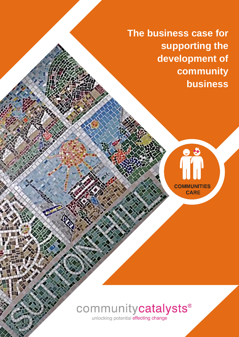**The business case for supporting the development of community business**



# communitycatalysts®

unlocking potential effecting change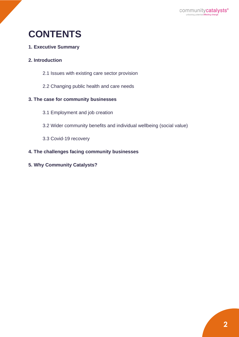## **CONTENTS**

#### **1. Executive Summary**

#### **2. Introduction**

- 2.1 Issues with existing care sector provision
- 2.2 Changing public health and care needs

#### **3. The case for community businesses**

- 3.1 Employment and job creation
- 3.2 Wider community benefits and individual wellbeing (social value)
- 3.3 Covid-19 recovery

#### **4. The challenges facing community businesses**

**5. Why Community Catalysts?**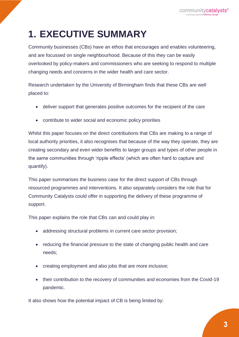# **1. EXECUTIVE SUMMARY**

Community businesses (CBs) have an ethos that encourages and enables volunteering, and are focussed on single neighbourhood. Because of this they can be easily overlooked by policy-makers and commissioners who are seeking to respond to multiple changing needs and concerns in the wider health and care sector.

Research undertaken by the University of Birmingham finds that these CBs are well placed to:

- deliver support that generates positive outcomes for the recipient of the care
- contribute to wider social and economic policy priorities

Whilst this paper focuses on the direct contributions that CBs are making to a range of local authority priorities, it also recognises that because of the way they operate, they are creating secondary and even wider benefits to larger groups and types of other people in the same communities through 'ripple effects' (which are often hard to capture and quantify).

This paper summarises the business case for the direct support of CBs through resourced programmes and interventions. It also separately considers the role that for Community Catalysts could offer in supporting the delivery of these programme of support.

This paper explains the role that CBs can and could play in:

- addressing structural problems in current care sector provision;
- reducing the financial pressure to the state of changing public health and care needs;
- creating employment and also jobs that are more inclusive;
- their contribution to the recovery of communities and economies from the Covid-19 pandemic.

It also shows how the potential impact of CB is being limited by: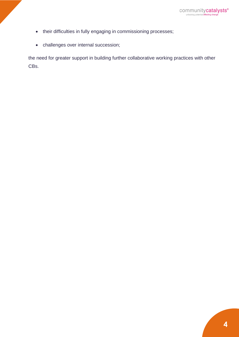- their difficulties in fully engaging in commissioning processes;
- challenges over internal succession;

the need for greater support in building further collaborative working practices with other CBs.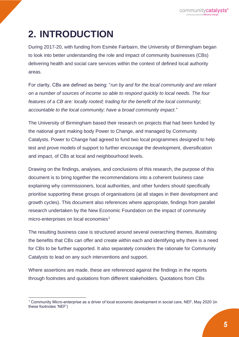# **2. INTRODUCTION**

During 2017-20, with funding from Esmée Fairbairn, the University of Birmingham began to look into better understanding the role and impact of community businesses (CBs) delivering health and social care services within the context of defined local authority areas.

For clarity, CBs are defined as being: "*run by and for the local community and are reliant on a number of sources of income so able to respond quickly to local needs. The four features of a CB are: locally rooted; trading for the benefit of the local community; accountable to the local community; have a broad community impact.*"

The University of Birmingham based their research on projects that had been funded by the national grant making body Power to Change, and managed by Community Catalysts. Power to Change had agreed to fund two local programmes designed to help test and prove models of support to further encourage the development, diversification and impact, of CBs at local and neighbourhood levels.

Drawing on the findings, analyses, and conclusions of this research, the purpose of this document is to bring together the recommendations into a coherent business case explaining why commissioners, local authorities, and other funders should specifically prioritise supporting these groups of organisations (at all stages in their development and growth cycles). This document also references where appropriate, findings from parallel research undertaken by the New Economic Foundation on the impact of community micro-enterprises on local economies<sup>1</sup>

The resulting business case is structured around several overarching themes, illustrating the benefits that CBs can offer and create within each and identifying why there is a need for CBs to be further supported. It also separately considers the rationale for Community Catalysts to lead on any such interventions and support.

Where assertions are made, these are referenced against the findings in the reports through footnotes and quotations from different stakeholders. Quotations from CBs

<sup>1</sup> Community Micro-enterprise as a driver of local economic development in social care, NEF, May 2020 (in these footnotes 'NEF')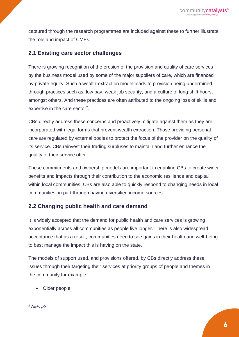captured through the research programmes are included against these to further illustrate the role and impact of CMEs.

#### **2.1 Existing care sector challenges**

There is growing recognition of the erosion of the provision and quality of care services by the business model used by some of the major suppliers of care, which are financed by private equity. Such a wealth-extraction model leads to provision being undermined through practices such as: low pay, weak job security, and a culture of long shift hours, amongst others. And these practices are often attributed to the ongoing loss of skills and expertise in the care sector<sup>2</sup>.

CBs directly address these concerns and proactively mitigate against them as they are incorporated with legal forms that prevent wealth extraction. Those providing personal care are regulated by external bodies to protect the focus of the provider on the quality of its service. CBs reinvest their trading surpluses to maintain and further enhance the quality of their service offer.

These commitments and ownership models are important in enabling CBs to create wider benefits and impacts through their contribution to the economic resilience and capital within local communities. CBs are also able to quickly respond to changing needs in local communities, in part through having diversified income sources.

#### **2.2 Changing public health and care demand**

It is widely accepted that the demand for public health and care services is growing exponentially across all communities as people live longer. There is also widespread acceptance that as a result, communities need to see gains in their health and well-being to best manage the impact this is having on the state.

The models of support used, and provisions offered, by CBs directly address these issues through their targeting their services at priority groups of people and themes in the community for example:

• Older people

 $2$  NEF,  $p5$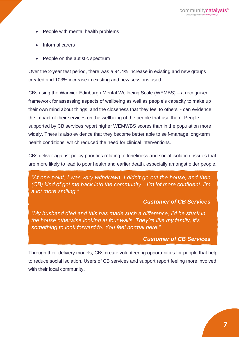- People with mental health problems
- Informal carers
- People on the autistic spectrum

Over the 2-year test period, there was a 94.4% increase in existing and new groups created and 103% increase in existing and new sessions used.

CBs using the Warwick Edinburgh Mental Wellbeing Scale (WEMBS) – a recognised framework for assessing aspects of wellbeing as well as people's capacity to make up their own mind about things, and the closeness that they feel to others - can evidence the impact of their services on the wellbeing of the people that use them. People supported by CB services report higher WEMWBS scores than in the population more widely. There is also evidence that they become better able to self-manage long-term health conditions, which reduced the need for clinical interventions.

CBs deliver against policy priorities relating to loneliness and social isolation, issues that are more likely to lead to poor health and earlier death, especially amongst older people.

*"At one point, I was very withdrawn, I didn't go out the house, and then (CB) kind of got me back into the community…I'm lot more confident. I'm a lot more smiling."* 

#### *Customer of CB Services*

*"My husband died and this has made such a difference, I'd be stuck in the house otherwise looking at four walls. They're like my family, it's something to look forward to. You feel normal here."*

#### *Customer of CB Services*

Through their delivery models, CBs create volunteering opportunities for people that help to reduce social isolation. Users of CB services and support report feeling more involved with their local community.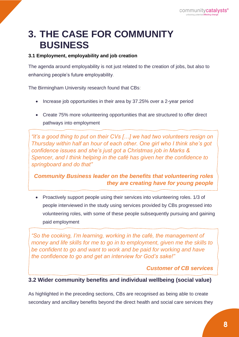### **3. THE CASE FOR COMMUNITY BUSINESS**

#### **3.1 Employment, employability and job creation**

The agenda around employability is not just related to the creation of jobs, but also to enhancing people's future employability.

The Birmingham University research found that CBs:

- Increase job opportunities in their area by 37.25% over a 2-year period
- Create 75% more volunteering opportunities that are structured to offer direct pathways into employment

 *Thursday within half an hour of each other. One girl who I think she's got "it's a good thing to put on their CVs […] we had two volunteers resign on confidence issues and she's just got a Christmas job in Marks & Spencer, and I think helping in the café has given her the confidence to springboard and do that"*

*Community Business leader on the benefits that volunteering roles they are creating have for young people*

• Proactively support people using their services into volunteering roles. 1/3 of people interviewed in the study using services provided by CBs progressed into volunteering roles, with some of these people subsequently pursuing and gaining paid employment

 *"So the cooking, I'm learning, working in the café, the management of money and life skills for me to go in to employment, given me the skills to be confident to go and want to work and be paid for working and have the confidence to go and get an interview for God's sake!"* 

#### *Customer of CB services*

#### **3.2 Wider community benefits and individual wellbeing (social value)**

As highlighted in the preceding sections, CBs are recognised as being able to create secondary and ancillary benefits beyond the direct health and social care services they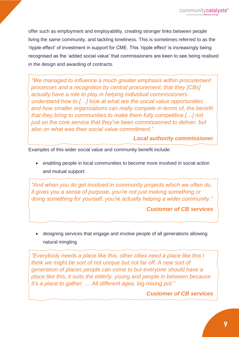offer such as employment and employability, creating stronger links between people living the same community, and tackling loneliness. This is sometimes referred to as the 'ripple effect' of investment in support for CME. This 'ripple effect' is increasingly being recognised as the 'added social value' that commissioners are keen to see being realised in the design and awarding of contracts.

 *processes and a recognition by central procurement, that they [CBs] "We managed to influence a much greater emphasis within procurement actually have a role to play in helping individual commissioners understand how to […] look at what are the social value opportunities and how smaller organisations can really compete in terms of, the benefit that they bring to communities to make them fully competitive […] not just on the core service that they've been commissioned to deliver, but also on what was their social value commitment."*

*Local authority commissioner*

Examples of this wider social value and community benefit include:

• enabling people in local communities to become more involved in social action and mutual support:

 *it gives you a sense of purpose, you're not just making something or "And when you do get involved in community projects which we often do, doing something for yourself, you're actually helping a wider community."* 

#### *Customer of CB services*

• designing services that engage and involve people of all generations allowing natural mingling

*think we might be sort of not unique but not far off. A new sort of "Everybody needs a place like this, other cities need a place like this I generation of places people can come to but everyone should have a place like this, it suits the elderly, young and people in between because it's a place to gather. … All different ages, big mixing pot."*

*Customer of CB services*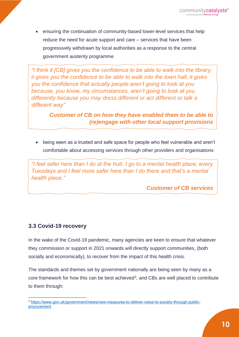• ensuring the continuation of community-based lower-level services that help reduce the need for acute support and care – services that have been progressively withdrawn by local authorities as a response to the central government austerity programme

 *it gives you the confidence to be able to walk into the town hall, it gives "I think it [CB] gives you the confidence to be able to walk into the library, you the confidence that actually people aren't going to look at you because, you know, my circumstances, aren't going to look at you differently because you may dress different or act different or talk a different way"* 

> *Customer of CB on how they have enabled them to be able to (re)engage with other local support provisions*

• being seen as a trusted and safe space for people who feel vulnerable and aren't comfortable about accessing services through other providers and organisations

 *Tuesdays and I feel more safer here than I do there and that's a mental "I feel safer here than I do at the hub. I go to a mental health place, every health place."* 

*Customer of CB services*

#### **3.3 Covid-19 recovery**

In the wake of the Covid-19 pandemic, many agencies are keen to ensure that whatever they commission or support in 2021 onwards will directly support communities, (both socially and economically), to recover from the impact of this health crisis.

The standards and themes set by government nationally are being seen by many as a core framework for how this can be best achieved<sup>3</sup>, and CBs are well placed to contribute to them through:

<sup>3</sup> [https://www.gov.uk/government/news/new-measures-to-deliver-value-to-society-through-public](https://www.gov.uk/government/news/new-measures-to-deliver-value-to-society-through-public-procurement)[procurement](https://www.gov.uk/government/news/new-measures-to-deliver-value-to-society-through-public-procurement)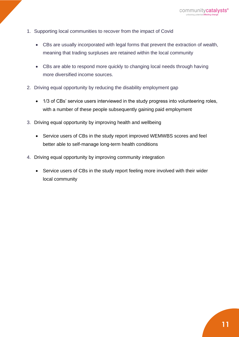- 1. Supporting local communities to recover from the impact of Covid
	- CBs are usually incorporated with legal forms that prevent the extraction of wealth, meaning that trading surpluses are retained within the local community
	- CBs are able to respond more quickly to changing local needs through having more diversified income sources.
- 2. Driving equal opportunity by reducing the disability employment gap
	- 1/3 of CBs' service users interviewed in the study progress into volunteering roles, with a number of these people subsequently gaining paid employment.
- 3. Driving equal opportunity by improving health and wellbeing
	- Service users of CBs in the study report improved WEMWBS scores and feel better able to self-manage long-term health conditions
- 4. Driving equal opportunity by improving community integration
	- Service users of CBs in the study report feeling more involved with their wider local community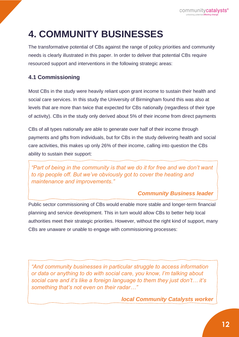# **4. COMMUNITY BUSINESSES**

The transformative potential of CBs against the range of policy priorities and community needs is clearly illustrated in this paper. In order to deliver that potential CBs require resourced support and interventions in the following strategic areas:

### **4.1 Commissioning**

Most CBs in the study were heavily reliant upon grant income to sustain their health and social care services. In this study the University of Birmingham found this was also at levels that are more than twice that expected for CBs nationally (regardless of their type of activity). CBs in the study only derived about 5% of their income from direct payments

CBs of all types nationally are able to generate over half of their income through payments and gifts from individuals, but for CBs in the study delivering health and social care activities, this makes up only 26% of their income, calling into question the CBs ability to sustain their support:

 *"Part of being in the community is that we do it for free and we don't want to rip people off. But we've obviously got to cover the heating and maintenance and improvements."*

### *Community Business leader*

Public sector commissioning of CBs would enable more stable and longer-term financial planning and service development. This in turn would allow CBs to better help local authorities meet their strategic priorities. However, without the right kind of support, many CBs are unaware or unable to engage with commissioning processes:

 *or data or anything to do with social care, you know, I'm talking about "And community businesses in particular struggle to access information social care and it's like a foreign language to them they just don't… it's something that's not even on their radar…"*

*local Community Catalysts worker*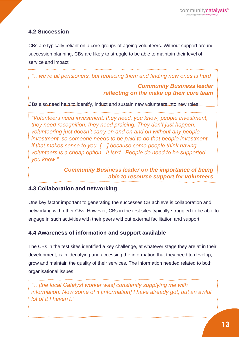### **4.2 Succession**

CBs are typically reliant on a core groups of ageing volunteers. Without support around succession planning, CBs are likely to struggle to be able to maintain their level of service and impact

*"…we're all pensioners, but replacing them and finding new ones is hard"* 

#### *Community Business leader reflecting on the make up their core team*

CBs also need help to identify, induct and sustain new volunteers into new roles

 *they need recognition, they need praising. They don't just happen, "Volunteers need investment, they need, you know, people investment, volunteering just doesn't carry on and on and on without any people investment, so someone needs to be paid to do that people investment, if that makes sense to you. […] because some people think having volunteers is a cheap option. It isn't. People do need to be supported, you know."* 

> *Community Business leader on the importance of being able to resource support for volunteers*

#### **4.3 Collaboration and networking**

One key factor important to generating the successes CB achieve is collaboration and networking with other CBs. However, CBs in the test sites typically struggled to be able to engage in such activities with their peers without external facilitation and support.

### **4.4 Awareness of information and support available**

The CBs in the test sites identified a key challenge, at whatever stage they are at in their development, is in identifying and accessing the information that they need to develop, grow and maintain the quality of their services. The information needed related to both organisational issues:

 *information. Now some of it [information] I have already got, but an awful "…[the local Catalyst worker was] constantly supplying me with lot of it I haven't."*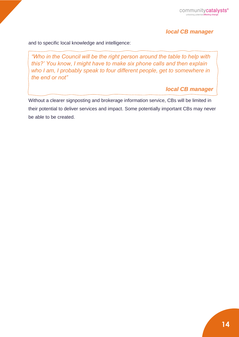#### *local CB manager*

and to specific local knowledge and intelligence:

 *this?' You know, I might have to make six phone calls and then explain "Who in the Council will be the right person around the table to help with who I am, I probably speak to four different people, get to somewhere in the end or not"*

*local CB manager*

Without a clearer signposting and brokerage information service, CBs will be limited in their potential to deliver services and impact. Some potentially important CBs may never be able to be created.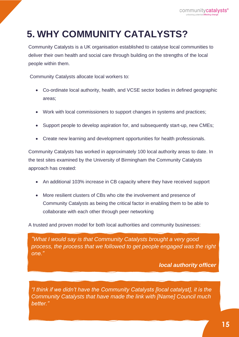## **5. WHY COMMUNITY CATALYSTS?**

Community Catalysts is a UK organisation established to catalyse local communities to deliver their own health and social care through building on the strengths of the local people within them.

Community Catalysts allocate local workers to:

- Co-ordinate local authority, health, and VCSE sector bodies in defined geographic areas;
- Work with local commissioners to support changes in systems and practices:
- Support people to develop aspiration for, and subsequently start-up, new CMEs;
- Create new learning and development opportunities for health professionals.

Community Catalysts has worked in approximately 100 local authority areas to date. In the test sites examined by the University of Birmingham the Community Catalysts approach has created:

- An additional 103% increase in CB capacity where they have received support
- More resilient clusters of CBs who cite the involvement and presence of Community Catalysts as being the critical factor in enabling them to be able to collaborate with each other through peer networking

A trusted and proven model for both local authorities and community businesses:

 *process, the process that we followed to get people engaged was the right "What I would say is that Community Catalysts brought a very good one."* 

*local authority officer*

 *"I think if we didn't have the Community Catalysts [local catalyst], it is the Community Catalysts that have made the link with [Name] Council much better."*